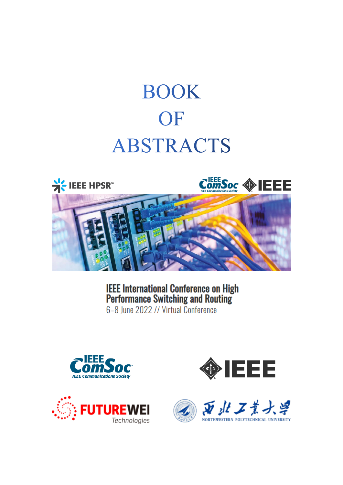# **BOOK** OF **ABSTRACTS**



**IEEE International Conference on High<br>Performance Switching and Routing** 6-8 June 2022 // Virtual Conference







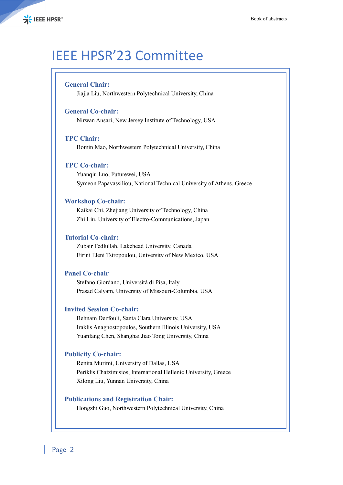# IEEE HPSR'23 Committee

#### **General Chair:**

Jiajia Liu, Northwestern Polytechnical University, China

#### **General Co-chair:**

Nirwan Ansari, New Jersey Institute of Technology, USA

#### **TPC Chair:**

Bomin Mao, Northwestern Polytechnical University, China

#### **TPC Co-chair:**

Yuanqiu Luo, Futurewei, USA Symeon Papavassiliou, National Technical University of Athens, Greece

#### **Workshop Co-chair:**

Kaikai Chi, Zhejiang University of Technology, China Zhi Liu, University of Electro-Communications, Japan

#### **Tutorial Co-chair:**

Zubair Fedlullah, Lakehead University, Canada Eirini Eleni Tsiropoulou, University of New Mexico, USA

#### **Panel Co-chair**

Stefano Giordano, Università di Pisa, Italy Prasad Calyam, University of Missouri-Columbia, USA

#### **Invited Session Co-chair:**

Behnam Dezfouli, Santa Clara University, USA Iraklis Anagnostopoulos, Southern Illinois University, USA Yuanfang Chen, Shanghai Jiao Tong University, China

#### **Publicity Co-chair:**

Renita Murimi, University of Dallas, USA Periklis Chatzimisios, International Hellenic University, Greece Xilong Liu, Yunnan University, China

#### **Publications and Registration Chair:**

Hongzhi Guo, Northwestern Polytechnical University, China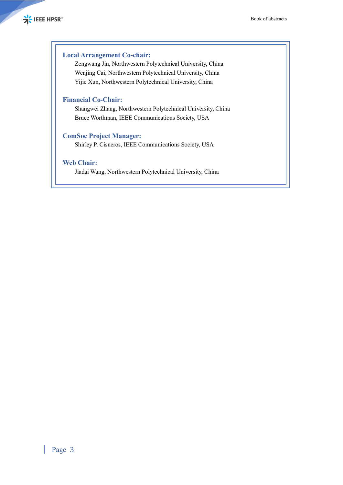#### **Local Arrangement Co-chair:**

Zengwang Jin, Northwestern Polytechnical University, China Wenjing Cai, Northwestern Polytechnical University, China Yijie Xun, Northwestern Polytechnical University, China

### **Financial Co-Chair:**

Shangwei Zhang, Northwestern Polytechnical University, China Bruce Worthman, IEEE Communications Society, USA

### **ComSoc Project Manager:**

Shirley P. Cisneros, IEEE Communications Society, USA

### **Web Chair:**

Jiadai Wang, Northwestern Polytechnical University, China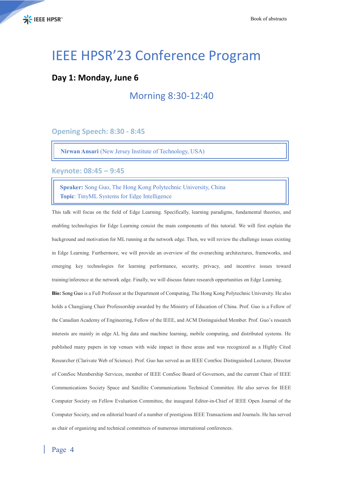# IEEE HPSR'23 Conference Program

### **Day 1: Monday, June 6**

### Morning 8:30-12:40

**Opening Speech: 8:30 - 8:45**

**Nirwan Ansari** (New Jersey Institute of Technology, USA)

**Keynote: 08:45 – 9:45**

**Speaker:** Song Guo, The Hong Kong Polytechnic University, China **Topic**: TinyML Systems for Edge Intelligence

This talk will focus on the field of Edge Learning. Specifically, learning paradigms, fundamental theories, and enabling technologies for Edge Learning consist the main components of this tutorial. We will first explain the background and motivation for ML running at the network edge. Then, we will review the challenge issues existing in Edge Learning. Furthermore, we will provide an overview of the overarching architectures, frameworks, and emerging key technologies for learning performance, security, privacy, and incentive issues toward training/inference at the network edge. Finally, we will discuss future research opportunities on Edge Learning.

**Bio:** Song Guo is a Full Professor at the Department of Computing, The Hong Kong Polytechnic University. He also holds a Changjiang Chair Professorship awarded by the Ministry of Education of China. Prof. Guo is a Fellow of the Canadian Academy of Engineering, Fellow of the IEEE, and ACM Distinguished Member. Prof. Guo's research interests are mainly in edge AI, big data and machine learning, mobile computing, and distributed systems. He published many papers in top venues with wide impact in these areas and was recognized as a Highly Cited Researcher (Clarivate Web of Science). Prof. Guo has served as an IEEE ComSoc Distinguished Lecturer, Director of ComSoc Membership Services, member of IEEE ComSoc Board of Governors, and the current Chair of IEEE Communications Society Space and Satellite Communications Technical Committee. He also serves for IEEE Computer Society on Fellow Evaluation Committee, the inaugural Editor-in-Chief of IEEE Open Journal of the Computer Society, and on editorial board of a number of prestigious IEEE Transactions and Journals. He has served as chair of organizing and technical committees of numerous international conferences.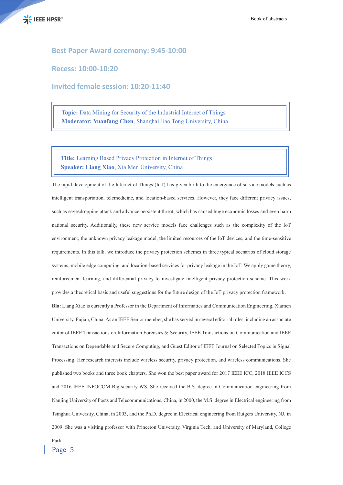

#### **Best Paper Award ceremony: 9:45-10:00**

**Recess: 10:00-10:20**

**Invited female session: 10:20-11:40**

**Topic:** Data Mining for Security of the Industrial Internet of Things **Moderator: Yuanfang Chen**, Shanghai Jiao Tong University, China

**Title:** Learning Based Privacy Protection in Internet of Things **Speaker: Liang Xiao**, Xia Men University, China

The rapid development of the Internet of Things (IoT) has given birth to the emergence of service models such as intelligent transportation, telemedicine, and location-based services. However, they face different privacy issues, such as eavesdropping attack and advance persistent threat, which has caused huge economic losses and even harm national security. Additionally, these new service models face challenges such as the complexity of the IoT environment, the unknown privacy leakage model, the limited resources of the IoT devices, and the time-sensitive requirements. In this talk, we introduce the privacy protection schemes in three typical scenarios of cloud storage systems, mobile edge computing, and location-based services for privacy leakage in the IoT. We apply game theory, reinforcement learning, and differential privacy to investigate intelligent privacy protection scheme. This work provides a theoretical basis and useful suggestions for the future design of the IoT privacy protection framework.

**Bio:** Liang Xiao is currently a Professor in the Department of Informatics and Communication Engineering, Xiamen University, Fujian, China. As an IEEE Senior member, she has served in several editorial roles, including an associate editor of IEEE Transactions on Information Forensics & Security, IEEE Transactions on Communication and IEEE Transactions on Dependable and Secure Computing, and Guest Editor of IEEE Journal on Selected Topics in Signal Processing. Her research interests include wireless security, privacy protection, and wireless communications. She published two books and three book chapters. She won the best paper award for 2017 IEEE ICC, 2018 IEEE ICCS and 2016 IEEE INFOCOM Big security WS. She received the B.S. degree in Communication engineering from Nanjing University of Posts and Telecommunications, China, in 2000, the M.S. degree in Electrical engineering from Tsinghua University, China, in 2003, and the Ph.D. degree in Electrical engineering from Rutgers University, NJ, in 2009. She was a visiting professor with Princeton University, Virginia Tech, and University of Maryland, College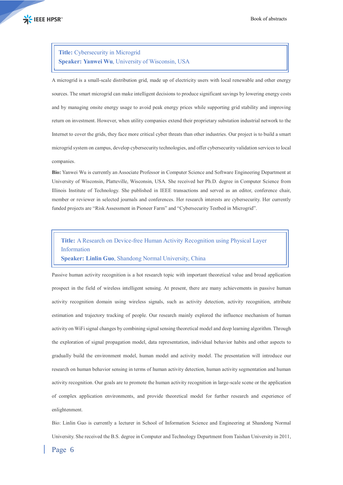### **Title:** Cybersecurity in Microgrid **Speaker: Yanwei Wu**, University of Wisconsin, USA

A microgrid is a small-scale distribution grid, made up of electricity users with local renewable and other energy sources. The smart microgrid can make intelligent decisions to produce significant savings by lowering energy costs and by managing onsite energy usage to avoid peak energy prices while supporting grid stability and improving return on investment. However, when utility companies extend their proprietary substation industrial network to the Internet to cover the grids, they face more critical cyber threats than other industries. Our project is to build a smart microgrid system on campus, develop cybersecurity technologies, and offer cybersecurity validation services to local companies.

**Bio:** Yanwei Wu is currently an Associate Professor in Computer Science and Software Engineering Department at University of Wisconsin, Platteville, Wisconsin, USA. She received her Ph.D. degree in Computer Science from Illinois Institute of Technology. She published in IEEE transactions and served as an editor, conference chair, member or reviewer in selected journals and conferences. Her research interests are cybersecurity. Her currently funded projects are "Risk Assessment in Pioneer Farm" and "Cybersecurity Testbed in Microgrid".

**Title:** A Research on Device-free Human Activity Recognition using Physical Layer Information **Speaker: Linlin Guo**, Shandong Normal University, China

Passive human activity recognition is a hot research topic with important theoretical value and broad application prospect in the field of wireless intelligent sensing. At present, there are many achievements in passive human activity recognition domain using wireless signals, such as activity detection, activity recognition, attribute estimation and trajectory tracking of people. Our research mainly explored the influence mechanism of human activity on WiFi signal changes by combining signal sensing theoretical model and deep learning algorithm. Through the exploration of signal propagation model, data representation, individual behavior habits and other aspects to gradually build the environment model, human model and activity model. The presentation will introduce our research on human behavior sensing in terms of human activity detection, human activity segmentation and human activity recognition. Our goals are to promote the human activity recognition in large-scale scene or the application of complex application environments, and provide theoretical model for further research and experience of enlightenment.

Bio: Linlin Guo is currently a lecturer in School of Information Science and Engineering at Shandong Normal University. She received the B.S. degree in Computer and Technology Department from Taishan University in 2011,

### Page 6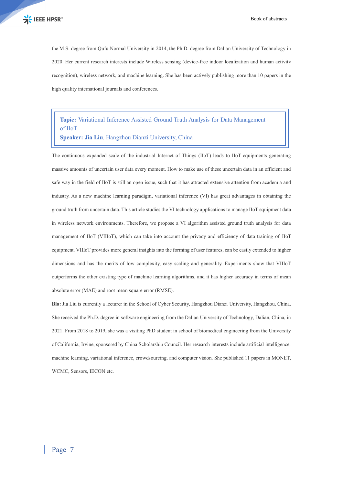the M.S. degree from Qufu Normal University in 2014, the Ph.D. degree from Dalian University of Technology in 2020. Her current research interests include Wireless sensing (device-free indoor localization and human activity recognition), wireless network, and machine learning. She has been actively publishing more than 10 papers in the high quality international journals and conferences.

### **Topic:** Variational Inference Assisted Ground Truth Analysis for Data Management of IIoT

**Speaker: Jia Liu**, Hangzhou Dianzi University, China

The continuous expanded scale of the industrial Internet of Things (IIoT) leads to IIoT equipments generating massive amounts of uncertain user data every moment. How to make use of these uncertain data in an efficient and safe way in the field of IIoT is still an open issue, such that it has attracted extensive attention from academia and industry. As a new machine learning paradigm, variational inference (VI) has great advantages in obtaining the ground truth from uncertain data. This article studies the VI technology applications to manage IIoT equipment data in wireless network environments. Therefore, we propose a VI algorithm assisted ground truth analysis for data management of IIoT (VIIIoT), which can take into account the privacy and efficiency of data training of IIoT equipment. VIIIoT provides more general insights into the forming of user features, can be easily extended to higher dimensions and has the merits of low complexity, easy scaling and generality. Experiments show that VIIIoT outperforms the other existing type of machine learning algorithms, and it has higher accuracy in terms of mean absolute error (MAE) and root mean square error (RMSE).

**Bio:** Jia Liu is currently a lecturer in the School of Cyber Security, Hangzhou Dianzi University, Hangzhou, China. She received the Ph.D. degree in software engineering from the Dalian University of Technology, Dalian, China, in 2021. From 2018 to 2019, she was a visiting PhD student in school of biomedical engineering from the University of California, Irvine, sponsored by China Scholarship Council. Her research interests include artificial intelligence, machine learning, variational inference, crowdsourcing, and computer vision. She published 11 papers in MONET, WCMC, Sensors, IECON etc.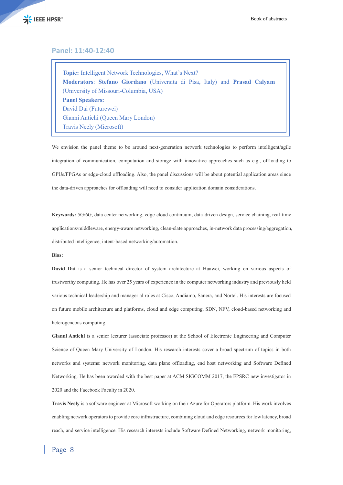

#### **Panel: 11:40-12:40**

**Topic:** Intelligent Network Technologies, What's Next? **Moderators**: **Stefano Giordano** (Universita di Pisa, Italy) and **Prasad Calyam** (University of Missouri-Columbia, USA) **Panel Speakers:** David Dai (Futurewei) Gianni Antichi (Queen Mary London) Travis Neely (Microsoft)

We envision the panel theme to be around next-generation network technologies to perform intelligent/agile integration of communication, computation and storage with innovative approaches such as e.g., offloading to GPUs/FPGAs or edge-cloud offloading. Also, the panel discussions will be about potential application areas since the data-driven approaches for offloading will need to consider application domain considerations.

**Keywords:** 5G/6G, data center networking, edge-cloud continuum, data-driven design, service chaining, real-time applications/middleware, energy-aware networking, clean-slate approaches, in-network data processing/aggregation, distributed intelligence, intent-based networking/automation.

#### **Bios:**

**David Dai** is a senior technical director of system architecture at Huawei, working on various aspects of trustworthy computing. He has over 25 years of experience in the computer networking industry and previously held various technical leadership and managerial roles at Cisco, Andiamo, Sanera, and Nortel. His interests are focused on future mobile architecture and platforms, cloud and edge computing, SDN, NFV, cloud-based networking and heterogeneous computing.

**Gianni Antichi** is a senior lecturer (associate professor) at the School of Electronic Engineering and Computer Science of Queen Mary University of London. His research interests cover a broad spectrum of topics in both networks and systems: network monitoring, data plane offloading, end host networking and Software Defined Networking. He has been awarded with the best paper at ACM SIGCOMM 2017, the EPSRC new investigator in 2020 and the Facebook Faculty in 2020.

**Travis Neely** is a software engineer at Microsoft working on their Azure for Operators platform. His work involves enabling network operators to provide core infrastructure, combining cloud and edge resources for low latency, broad reach, and service intelligence. His research interests include Software Defined Networking, network monitoring,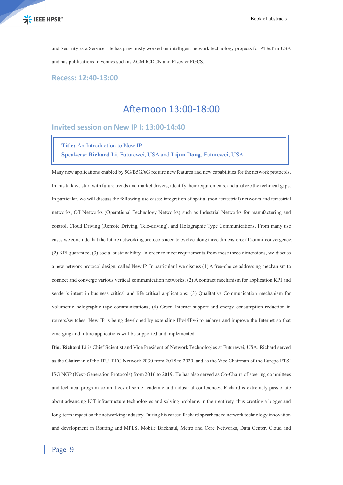

and Security as a Service. He has previously worked on intelligent network technology projects for AT&T in USA and has publications in venues such as ACM ICDCN and Elsevier FGCS.

**Recess: 12:40-13:00**

### Afternoon 13:00-18:00

**Invited session on New IP I: 13:00-14:40**

### **Title:** An Introduction to New IP **Speakers: Richard Li,** Futurewei, USA and **Lijun Dong,** Futurewei, USA

Many new applications enabled by 5G/B5G/6G require new features and new capabilities for the network protocols. In this talk we start with future trends and market drivers, identify their requirements, and analyze the technical gaps. In particular, we will discuss the following use cases: integration of spatial (non-terrestrial) networks and terrestrial networks, OT Networks (Operational Technology Networks) such as Industrial Networks for manufacturing and control, Cloud Driving (Remote Driving, Tele-driving), and Holographic Type Communications. From many use cases we conclude that the future networking protocols need to evolve along three dimensions: (1) omni-convergence; (2) KPI guarantee; (3) social sustainability. In order to meet requirements from these three dimensions, we discuss a new network protocol design, called New IP. In particular I we discuss (1) A free-choice addressing mechanism to connect and converge various vertical communication networks; (2) A contract mechanism for application KPI and sender's intent in business critical and life critical applications; (3) Qualitative Communication mechanism for volumetric holographic type communications; (4) Green Internet support and energy consumption reduction in routers/switches. New IP is being developed by extending IPv4/IPv6 to enlarge and improve the Internet so that emerging and future applications will be supported and implemented.

**Bio: Richard Li** is Chief Scientist and Vice President of Network Technologies at Futurewei, USA. Richard served as the Chairman of the ITU-T FG Network 2030 from 2018 to 2020, and as the Vice Chairman of the Europe ETSI ISG NGP (Next-Generation Protocols) from 2016 to 2019. He has also served as Co-Chairs of steering committees and technical program committees of some academic and industrial conferences. Richard is extremely passionate about advancing ICT infrastructure technologies and solving problems in their entirety, thus creating a bigger and long-term impact on the networking industry. During his career, Richard spearheaded network technology innovation and development in Routing and MPLS, Mobile Backhaul, Metro and Core Networks, Data Center, Cloud and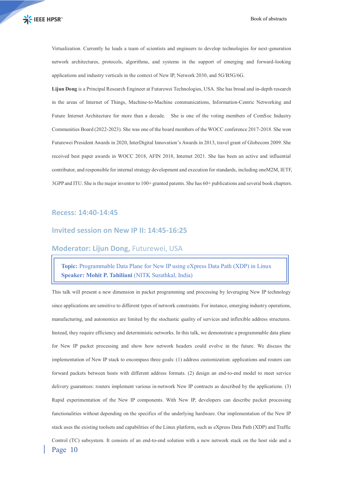Virtualization. Currently he leads a team of scientists and engineers to develop technologies for next-generation network architectures, protocols, algorithms, and systems in the support of emerging and forward-looking applications and industry verticals in the context of New IP, Network 2030, and 5G/B5G/6G.

**Lijun Dong** is a Principal Research Engineer at Futurewei Technologies, USA. She has broad and in-depth research in the areas of Internet of Things, Machine-to-Machine communications, Information-Centric Networking and Future Internet Architecture for more than a decade. She is one of the voting members of ComSoc Industry Communities Board (2022-2023). She was one of the board members of the WOCC conference 2017-2018. She won Futurewei President Awards in 2020, InterDigital Innovation's Awards in 2013, travel grant of Globecom 2009. She received best paper awards in WOCC 2018, AFIN 2018, Internet 2021. She has been an active and influential contributor, and responsible for internal strategy development and execution for standards, including oneM2M, IETF, 3GPP and ITU. She is the major inventor to 100+ granted patents. She has 60+ publications and several book chapters.

#### **Recess: 14:40-14:45**

#### **Invited session on New IP II: 14:45-16:25**

#### **Moderator: Lijun Dong,** Futurewei, USA

**Topic:** Programmable Data Plane for New IP using eXpress Data Path (XDP) in Linux **Speaker: Mohit P. Tahiliani** (NITK Surathkal, India)

Page 10 This talk will present a new dimension in packet programming and processing by leveraging New IP technology since applications are sensitive to different types of network constraints. For instance, emerging industry operations, manufacturing, and autonomics are limited by the stochastic quality of services and inflexible address structures. Instead, they require efficiency and deterministic networks. In this talk, we demonstrate a programmable data plane for New IP packet processing and show how network headers could evolve in the future. We discuss the implementation of New IP stack to encompass three goals: (1) address customization: applications and routers can forward packets between hosts with different address formats. (2) design an end-to-end model to meet service delivery guarantees: routers implement various in-network New IP contracts as described by the applications. (3) Rapid experimentation of the New IP components. With New IP, developers can describe packet processing functionalities without depending on the specifics of the underlying hardware. Our implementation of the New IP stack uses the existing toolsets and capabilities of the Linux platform, such as eXpress Data Path (XDP) and Traffic Control (TC) subsystem. It consists of an end-to-end solution with a new network stack on the host side and a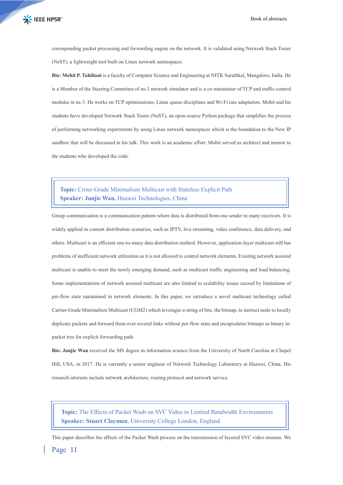corresponding packet processing and forwarding engine on the network. It is validated using Network Stack Tester (NeST), a lightweight tool built on Linux network namespaces.

**Bio: Mohit P. Tahiliani** is a faculty of Computer Science and Engineering at NITK Surathkal, Mangalore, India. He is a Member of the Steering Committee of ns-3 network simulator and is a co-maintainer of TCP and traffic-control modules in ns-3. He works on TCP optimizations, Linux queue disciplines and Wi-Fi rate adaptation. Mohit and his students have developed Network Stack Tester (NeST), an open-source Python package that simplifies the process of performing networking experiments by using Linux network namespaces which is the foundation to the New IP sandbox that will be discussed in his talk. This work is an academic effort. Mohit served as architect and mentor to the students who developed the code.

### **Topic:** Crrier-Grade Minimalism Multicast with Stateless Explicit Path **Speaker: Junjie Wan,** Huawei Technologies, China

Group communication is a communication pattern where data is distributed from one sender to many receivers. It is widely applied in content distribution scenarios, such as IPTV, live streaming, video conference, data delivery, and others. Multicast is an efficient one-to-many data distribution method. However, application-layer multicast still has problems of inefficient network utilization as it is not allowed to control network elements. Existing network assisted multicast is unable to meet the newly emerging demand, such as multicast traffic engineering and load balancing. Some implementations of network assisted multicast are also limited to scalability issues caused by limitations of per-flow state maintained in network elements. In this paper, we introduce a novel multicast technology called Carrier-Grade Minimalism Multicast (CGM2) which leverages a string of bits, the bitmap, to instruct node to locally duplicate packets and forward them over several links without per-flow state and encapsulates bitmaps as binary inpacket tree for explicit forwarding path.

**Bio: Junjie Wan** received the MS degree in information science from the University of North Carolina at Chapel Hill, USA, in 2017. He is currently a senior engineer of Network Technology Laboratory at Huawei, China. His research interests include network architecture, routing protocol and network service.

**Topic:** The Effects of Packet Wash on SVC Video in Limited Bandwidth Environments **Speaker: Stuart Clayman**, University College London, England

This paper describes the effects of the Packet Wash process on the transmission of layered SVC video streams. We

Page 11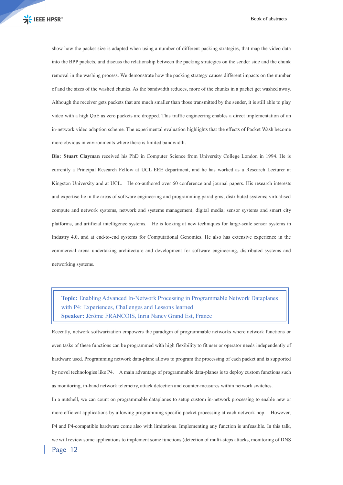show how the packet size is adapted when using a number of different packing strategies, that map the video data into the BPP packets, and discuss the relationship between the packing strategies on the sender side and the chunk removal in the washing process. We demonstrate how the packing strategy causes different impacts on the number of and the sizes of the washed chunks. As the bandwidth reduces, more of the chunks in a packet get washed away. Although the receiver gets packets that are much smaller than those transmitted by the sender, it is still able to play video with a high QoE as zero packets are dropped. This traffic engineering enables a direct implementation of an in-network video adaption scheme. The experimental evaluation highlights that the effects of Packet Wash become more obvious in environments where there is limited bandwidth.

**Bio: Stuart Clayman** received his PhD in Computer Science from University College London in 1994. He is currently a Principal Research Fellow at UCL EEE department, and he has worked as a Research Lecturer at Kingston University and at UCL. He co-authored over 60 conference and journal papers. His research interests and expertise lie in the areas of software engineering and programming paradigms; distributed systems; virtualised compute and network systems, network and systems management; digital media; sensor systems and smart city platforms, and artificial intelligence systems. He is looking at new techniques for large-scale sensor systems in Industry 4.0, and at end-to-end systems for Computational Genomics. He also has extensive experience in the commercial arena undertaking architecture and development for software engineering, distributed systems and networking systems.

**Topic:** Enabling Advanced In-Network Processing in Programmable Network Dataplanes with P4: Experiences, Challenges and Lessons learned **Speaker:** Jérôme FRANCOIS, Inria Nancy Grand Est, France

Recently, network softwarization empowers the paradigm of programmable networks where network functions or even tasks of these functions can be programmed with high flexibility to fit user or operator needs independently of hardware used. Programming network data-plane allows to program the processing of each packet and is supported by novel technologies like P4. A main advantage of programmable data-planes is to deploy custom functions such as monitoring, in-band network telemetry, attack detection and counter-measures within network switches.

Page 12 In a nutshell, we can count on programmable dataplanes to setup custom in-network processing to enable new or more efficient applications by allowing programming specific packet processing at each network hop. However, P4 and P4-compatible hardware come also with limitations. Implementing any function is unfeasible. In this talk, we will review some applications to implement some functions (detection of multi-steps attacks, monitoring of DNS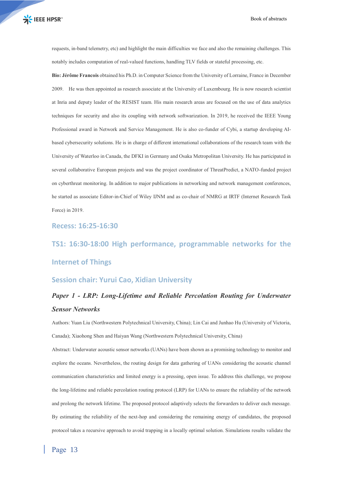requests, in-band telemetry, etc) and highlight the main difficulties we face and also the remaining challenges. This notably includes computation of real-valued functions, handling TLV fields or stateful processing, etc.

**Bio: Jérôme Francois** obtained his Ph.D. in Computer Science from the University of Lorraine, France in December 2009. He was then appointed as research associate at the University of Luxembourg. He is now research scientist at Inria and deputy leader of the RESIST team. His main research areas are focused on the use of data analytics techniques for security and also its coupling with network softwarization. In 2019, he received the IEEE Young Professional award in Network and Service Management. He is also co-funder of Cybi, a startup developing AIbased cybersecurity solutions. He is in charge of different international collaborations of the research team with the University of Waterloo in Canada, the DFKI in Germany and Osaka Metropolitan University. He has participated in several collaborative European projects and was the project coordinator of ThreatPredict, a NATO-funded project on cyberthreat monitoring. In addition to major publications in networking and network management conferences, he started as associate Editor-in-Chief of Wiley IJNM and as co-chair of NMRG at IRTF (Internet Research Task Force) in 2019.

#### **Recess: 16:25-16:30**

# **TS1: 16:30-18:00 High performance, programmable networks for the Internet of Things**

### **Session chair: Yurui Cao, Xidian University**

### *Paper 1 - LRP: Long-Lifetime and Reliable Percolation Routing for Underwater Sensor Networks*

Authors: Yuan Liu (Northwestern Polytechnical University, China); Lin Cai and Junhao Hu (University of Victoria, Canada); Xiaohong Shen and Haiyan Wang (Northwestern Polytechnical University, China)

Abstract: Underwater acoustic sensor networks (UANs) have been shown as a promising technology to monitor and explore the oceans. Nevertheless, the routing design for data gathering of UANs considering the acoustic channel communication characteristics and limited energy is a pressing, open issue. To address this challenge, we propose the long-lifetime and reliable percolation routing protocol (LRP) for UANs to ensure the reliability of the network and prolong the network lifetime. The proposed protocol adaptively selects the forwarders to deliver each message. By estimating the reliability of the next-hop and considering the remaining energy of candidates, the proposed protocol takes a recursive approach to avoid trapping in a locally optimal solution. Simulations results validate the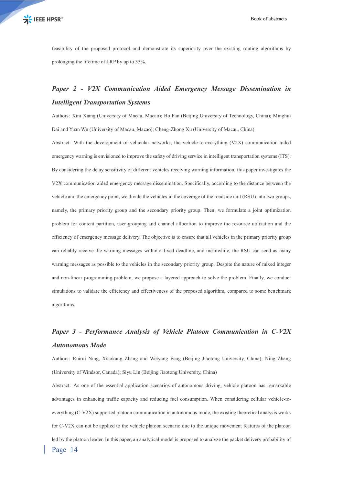feasibility of the proposed protocol and demonstrate its superiority over the existing routing algorithms by prolonging the lifetime of LRP by up to 35%.

### *Paper 2 - V2X Communication Aided Emergency Message Dissemination in Intelligent Transportation Systems*

Authors: Xini Xiang (University of Macau, Macao); Bo Fan (Beijing University of Technology, China); Minghui Dai and Yuan Wu (University of Macau, Macao); Cheng-Zhong Xu (University of Macau, China)

Abstract: With the development of vehicular networks, the vehicle-to-everything (V2X) communication aided emergency warning is envisioned to improve the safety of driving service in intelligent transportation systems (ITS). By considering the delay sensitivity of different vehicles receiving warning information, this paper investigates the V2X communication aided emergency message dissemination. Specifically, according to the distance between the vehicle and the emergency point, we divide the vehicles in the coverage of the roadside unit (RSU) into two groups, namely, the primary priority group and the secondary priority group. Then, we formulate a joint optimization problem for content partition, user grouping and channel allocation to improve the resource utilization and the efficiency of emergency message delivery. The objective is to ensure that all vehicles in the primary priority group can reliably receive the warning messages within a fixed deadline, and meanwhile, the RSU can send as many warning messages as possible to the vehicles in the secondary priority group. Despite the nature of mixed integer and non-linear programming problem, we propose a layered approach to solve the problem. Finally, we conduct simulations to validate the efficiency and effectiveness of the proposed algorithm, compared to some benchmark algorithms.

### *Paper 3 - Performance Analysis of Vehicle Platoon Communication in C-V2X Autonomous Mode*

Authors: Ruirui Ning, Xiaokang Zhang and Weiyang Feng (Beijing Jiaotong University, China); Ning Zhang (University of Windsor, Canada); Siyu Lin (Beijing Jiaotong University, China)

Page 14 Abstract: As one of the essential application scenarios of autonomous driving, vehicle platoon has remarkable advantages in enhancing traffic capacity and reducing fuel consumption. When considering cellular vehicle-toeverything (C-V2X) supported platoon communication in autonomous mode, the existing theoretical analysis works for C-V2X can not be applied to the vehicle platoon scenario due to the unique movement features of the platoon led by the platoon leader. In this paper, an analytical model is proposed to analyze the packet delivery probability of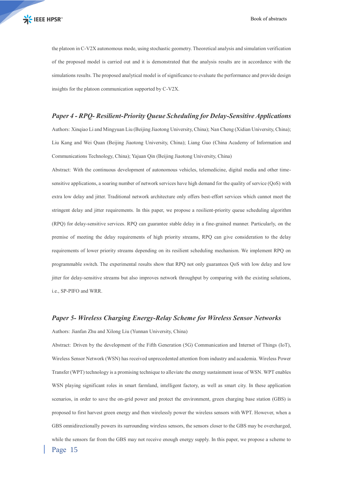the platoon in C-V2X autonomous mode, using stochastic geometry. Theoretical analysis and simulation verification of the proposed model is carried out and it is demonstrated that the analysis results are in accordance with the simulations results. The proposed analytical model is of significance to evaluate the performance and provide design insights for the platoon communication supported by C-V2X.

#### *Paper 4 - RPQ- Resilient-Priority Queue Scheduling for Delay-Sensitive Applications*

Authors: Xinqiao Li and Mingyuan Liu (Beijing Jiaotong University, China); Nan Cheng (Xidian University, China); Liu Kang and Wei Quan (Beijing Jiaotong University, China); Liang Guo (China Academy of Information and Communications Technology, China); Yajuan Qin (Beijing Jiaotong University, China)

Abstract: With the continuous development of autonomous vehicles, telemedicine, digital media and other timesensitive applications, a soaring number of network services have high demand for the quality of service (QoS) with extra low delay and jitter. Traditional network architecture only offers best-effort services which cannot meet the stringent delay and jitter requirements. In this paper, we propose a resilient-priority queue scheduling algorithm (RPQ) for delay-sensitive services. RPQ can guarantee stable delay in a fine-grained manner. Particularly, on the premise of meeting the delay requirements of high priority streams, RPQ can give consideration to the delay requirements of lower priority streams depending on its resilient scheduling mechanism. We implement RPQ on programmable switch. The experimental results show that RPQ not only guarantees QoS with low delay and low jitter for delay-sensitive streams but also improves network throughput by comparing with the existing solutions, i.e., SP-PIFO and WRR.

#### *Paper 5- Wireless Charging Energy-Relay Scheme for Wireless Sensor Networks*

Authors: Jianfan Zhu and Xilong Liu (Yunnan University, China)

Page 15 Abstract: Driven by the development of the Fifth Generation (5G) Communication and Internet of Things (IoT), Wireless Sensor Network (WSN) has received unprecedented attention from industry and academia. Wireless Power Transfer (WPT) technology is a promising technique to alleviate the energy sustainment issue of WSN. WPT enables WSN playing significant roles in smart farmland, intelligent factory, as well as smart city. In these application scenarios, in order to save the on-grid power and protect the environment, green charging base station (GBS) is proposed to first harvest green energy and then wirelessly power the wireless sensors with WPT. However, when a GBS omnidirectionally powers its surrounding wireless sensors, the sensors closer to the GBS may be overcharged, while the sensors far from the GBS may not receive enough energy supply. In this paper, we propose a scheme to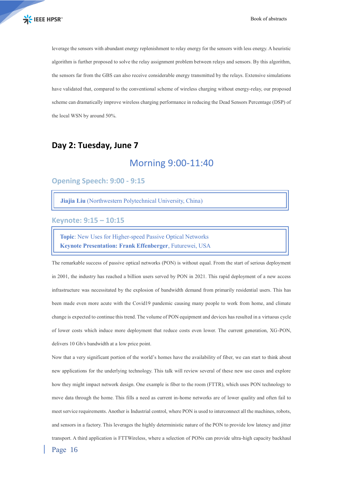leverage the sensors with abundant energy replenishment to relay energy for the sensors with less energy. A heuristic algorithm is further proposed to solve the relay assignment problem between relays and sensors. By this algorithm, the sensors far from the GBS can also receive considerable energy transmitted by the relays. Extensive simulations have validated that, compared to the conventional scheme of wireless charging without energy-relay, our proposed scheme can dramatically improve wireless charging performance in reducing the Dead Sensors Percentage (DSP) of the local WSN by around 50%.

### **Day 2: Tuesday, June 7**

### Morning 9:00-11:40

### **Opening Speech: 9:00 - 9:15**

**Jiajia Liu** (Northwestern Polytechnical University, China)

**Keynote: 9:15 – 10:15**

**Topic**: New Uses for Higher-speed Passive Optical Networks **Keynote Presentation: Frank Effenberger**, Futurewei, USA

The remarkable success of passive optical networks (PON) is without equal. From the start of serious deployment in 2001, the industry has reached a billion users served by PON in 2021. This rapid deployment of a new access infrastructure was necessitated by the explosion of bandwidth demand from primarily residential users. This has been made even more acute with the Covid19 pandemic causing many people to work from home, and climate change is expected to continue this trend. The volume of PON equipment and devices has resulted in a virtuous cycle of lower costs which induce more deployment that reduce costs even lower. The current generation, XG-PON, delivers 10 Gb/s bandwidth at a low price point.

Now that a very significant portion of the world's homes have the availability of fiber, we can start to think about new applications for the underlying technology. This talk will review several of these new use cases and explore how they might impact network design. One example is fiber to the room (FTTR), which uses PON technology to move data through the home. This fills a need as current in-home networks are of lower quality and often fail to meet service requirements. Another is Industrial control, where PON is used to interconnect all the machines, robots, and sensors in a factory. This leverages the highly deterministic nature of the PON to provide low latency and jitter transport. A third application is FTTWireless, where a selection of PONs can provide ultra-high capacity backhaul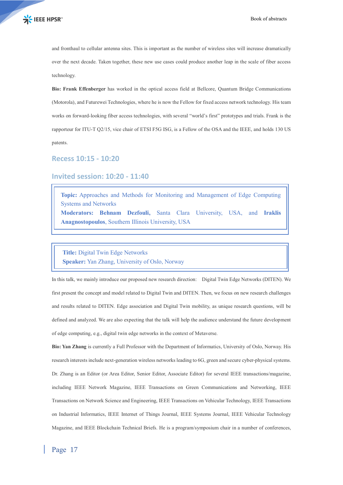and fronthaul to cellular antenna sites. This is important as the number of wireless sites will increase dramatically over the next decade. Taken together, these new use cases could produce another leap in the scale of fiber access technology.

**Bio: Frank Effenberger** has worked in the optical access field at Bellcore, Quantum Bridge Communications (Motorola), and Futurewei Technologies, where he is now the Fellow for fixed access network technology. His team works on forward-looking fiber access technologies, with several "world's first" prototypes and trials. Frank is the rapporteur for ITU-T Q2/15, vice chair of ETSI F5G ISG, is a Fellow of the OSA and the IEEE, and holds 130 US patents.

**Recess 10:15 - 10:20**

#### **Invited session: 10:20 - 11:40**

**Topic:** Approaches and Methods for Monitoring and Management of Edge Computing Systems and Networks **Moderators: Behnam Dezfouli,** Santa Clara University, USA, and **Iraklis Anagnostopoulos**, Southern Illinois University, USA

#### **Title:** Digital Twin Edge Networks

**Speaker:** Yan Zhang, University of Oslo, Norway

In this talk, we mainly introduce our proposed new research direction: Digital Twin Edge Networks (DITEN). We first present the concept and model related to Digital Twin and DITEN. Then, we focus on new research challenges and results related to DITEN. Edge association and Digital Twin mobility, as unique research questions, will be defined and analyzed. We are also expecting that the talk will help the audience understand the future development of edge computing, e.g., digital twin edge networks in the context of Metaverse.

**Bio: Yan Zhang** is currently a Full Professor with the Department of Informatics, University of Oslo, Norway. His research interests include next-generation wireless networks leading to 6G, green and secure cyber-physical systems. Dr. Zhang is an Editor (or Area Editor, Senior Editor, Associate Editor) for several IEEE transactions/magazine, including IEEE Network Magazine, IEEE Transactions on Green Communications and Networking, IEEE Transactions on Network Science and Engineering, IEEE Transactions on Vehicular Technology, IEEE Transactions on Industrial Informatics, IEEE Internet of Things Journal, IEEE Systems Journal, IEEE Vehicular Technology Magazine, and IEEE Blockchain Technical Briefs. He is a program/symposium chair in a number of conferences,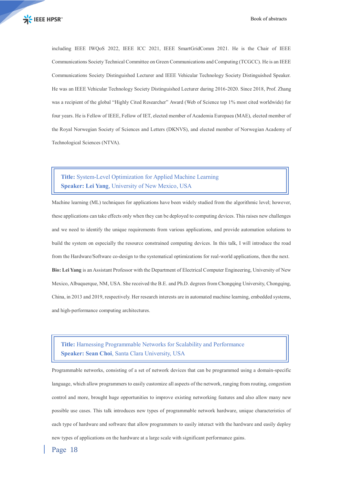including IEEE IWQoS 2022, IEEE ICC 2021, IEEE SmartGridComm 2021. He is the Chair of IEEE Communications Society Technical Committee on Green Communications and Computing (TCGCC). He is an IEEE Communications Society Distinguished Lecturer and IEEE Vehicular Technology Society Distinguished Speaker. He was an IEEE Vehicular Technology Society Distinguished Lecturer during 2016-2020. Since 2018, Prof. Zhang was a recipient of the global "Highly Cited Researcher" Award (Web of Science top 1% most cited worldwide) for four years. He is Fellow of IEEE, Fellow of IET, elected member of Academia Europaea (MAE), elected member of the Royal Norwegian Society of Sciences and Letters (DKNVS), and elected member of Norwegian Academy of Technological Sciences (NTVA).

### **Title:** System-Level Optimization for Applied Machine Learning **Speaker: Lei Yang**, University of New Mexico, USA

Machine learning (ML) techniques for applications have been widely studied from the algorithmic level; however, these applications can take effects only when they can be deployed to computing devices. This raises new challenges and we need to identify the unique requirements from various applications, and provide automation solutions to build the system on especially the resource constrained computing devices. In this talk, I will introduce the road from the Hardware/Software co-design to the systematical optimizations for real-world applications, then the next. **Bio: Lei Yang** is an Assistant Professor with the Department of Electrical Computer Engineering, University of New Mexico, Albuquerque, NM, USA. She received the B.E. and Ph.D. degrees from Chongqing University, Chongqing, China, in 2013 and 2019, respectively. Her research interests are in automated machine learning, embedded systems, and high-performance computing architectures.

### **Title:** Harnessing Programmable Networks for Scalability and Performance **Speaker: Sean Choi**, Santa Clara University, USA

Programmable networks, consisting of a set of network devices that can be programmed using a domain-specific language, which allow programmers to easily customize all aspects of the network, ranging from routing, congestion control and more, brought huge opportunities to improve existing networking features and also allow many new possible use cases. This talk introduces new types of programmable network hardware, unique characteristics of each type of hardware and software that allow programmers to easily interact with the hardware and easily deploy new types of applications on the hardware at a large scale with significant performance gains.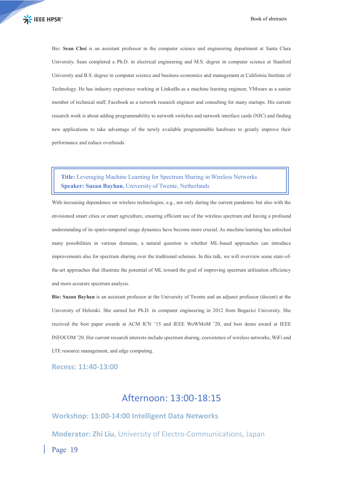Bio: **Sean Choi** is an assistant professor in the computer science and engineering department at Santa Clara University. Sean completed a Ph.D. in electrical engineering and M.S. degree in computer science at Stanford University and B.S. degree in computer science and business economics and management at California Institute of Technology. He has industry experience working at LinkedIn as a machine learning engineer, VMware as a senior member of technical staff, Facebook as a network research engineer and consulting for many startups. His current research work is about adding programmability to network switches and network interface cards (NIC) and finding new applications to take advantage of the newly available programmable hardware to greatly improve their performance and reduce overheads.

### **Title:** Leveraging Machine Learning for Spectrum Sharing in Wireless Networks **Speaker: Suzan Bayhan**, University of Twente, Netherlands

With increasing dependence on wireless technologies, e.g., not only during the current pandemic but also with the envisioned smart cities or smart agriculture, ensuring efficient use of the wireless spectrum and having a profound understanding of its spatio-temporal usage dynamics have become more crucial. As machine learning has unlocked many possibilities in various domains, a natural question is whether ML-based approaches can introduce improvements also for spectrum sharing over the traditional schemes. In this talk, we will overview some state-ofthe-art approaches that illustrate the potential of ML toward the goal of improving spectrum utilization efficiency and more accurate spectrum analysis.

**Bio: Suzan Bayhan** is an assistant professor at the University of Twente and an adjunct professor (docent) at the University of Helsinki. She earned her Ph.D. in computer engineering in 2012 from Bogazici University. She received the best paper awards at ACM ICN '15 and IEEE WoWMoM '20, and best demo award at IEEE INFOCOM '20. Her current research interests include spectrum sharing, coexistence of wireless networks, WiFi and LTE resource management, and edge computing.

**Recess: 11:40-13:00**

### Afternoon: 13:00-18:15

**Workshop: 13:00-14:00 Intelligent Data Networks**

**Moderator: Zhi Liu**, University of Electro-Communications, Japan

Page 19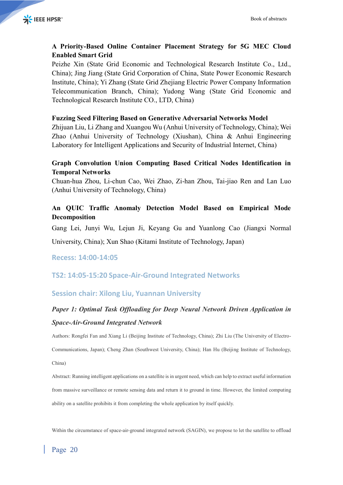### **A Priority-Based Online Container Placement Strategy for 5G MEC Cloud Enabled Smart Grid**

Peizhe Xin (State Grid Economic and Technological Research Institute Co., Ltd., China); Jing Jiang (State Grid Corporation of China, State Power Economic Research Institute, China); Yi Zhang (State Grid Zhejiang Electric Power Company Information Telecommunication Branch, China); Yudong Wang (State Grid Economic and Technological Research Institute CO., LTD, China)

### **Fuzzing Seed Filtering Based on Generative Adversarial Networks Model**

Zhijuan Liu, Li Zhang and Xuangou Wu (Anhui University of Technology, China); Wei Zhao (Anhui University of Technology (Xiushan), China & Anhui Engineering Laboratory for Intelligent Applications and Security of Industrial Internet, China)

### **Graph Convolution Union Computing Based Critical Nodes Identification in Temporal Networks**

Chuan-hua Zhou, Li-chun Cao, Wei Zhao, Zi-han Zhou, Tai-jiao Ren and Lan Luo (Anhui University of Technology, China)

### **An QUIC Traffic Anomaly Detection Model Based on Empirical Mode Decomposition**

Gang Lei, Junyi Wu, Lejun Ji, Keyang Gu and Yuanlong Cao (Jiangxi Normal

University, China); Xun Shao (Kitami Institute of Technology, Japan)

**Recess: 14:00-14:05**

### **TS2: 14:05-15:20 Space-Air-Ground Integrated Networks**

### **Session chair: Xilong Liu, Yuannan University**

### *Paper 1: Optimal Task Offloading for Deep Neural Network Driven Application in Space-Air-Ground Integrated Network*

Authors: Rongfei Fan and Xiang Li (Beijing Institute of Technology, China); Zhi Liu (The University of Electro-

Communications, Japan); Cheng Zhan (Southwest University, China); Han Hu (Beijing Institute of Technology, China)

Abstract: Running intelligent applications on a satellite is in urgent need, which can help to extract useful information from massive surveillance or remote sensing data and return it to ground in time. However, the limited computing ability on a satellite prohibits it from completing the whole application by itself quickly.

Within the circumstance of space-air-ground integrated network (SAGIN), we propose to let the satellite to offload

### Page 20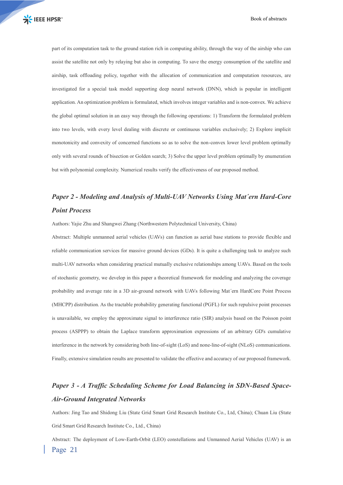part of its computation task to the ground station rich in computing ability, through the way of the airship who can assist the satellite not only by relaying but also in computing. To save the energy consumption of the satellite and airship, task offloading policy, together with the allocation of communication and computation resources, are investigated for a special task model supporting deep neural network (DNN), which is popular in intelligent application. An optimization problem is formulated, which involves integer variables and is non-convex. We achieve the global optimal solution in an easy way through the following operations: 1) Transform the formulated problem into two levels, with every level dealing with discrete or continuous variables exclusively; 2) Explore implicit monotonicity and convexity of concerned functions so as to solve the non-convex lower level problem optimally only with several rounds of bisection or Golden search; 3) Solve the upper level problem optimally by enumeration but with polynomial complexity. Numerical results verify the effectiveness of our proposed method.

### *Paper 2 - Modeling and Analysis of Multi-UAV Networks Using Mat´ern Hard-Core Point Process*

Authors: Yajie Zhu and Shangwei Zhang (Northwestern Polytechnical University, China)

Abstract: Multiple unmanned aerial vehicles (UAVs) can function as aerial base stations to provide flexible and reliable communication services for massive ground devices (GDs). It is quite a challenging task to analyze such multi-UAV networks when considering practical mutually exclusive relationships among UAVs. Based on the tools of stochastic geometry, we develop in this paper a theoretical framework for modeling and analyzing the coverage probability and average rate in a 3D air-ground network with UAVs following Mat´ern HardCore Point Process (MHCPP) distribution. As the tractable probability generating functional (PGFL) for such repulsive point processes is unavailable, we employ the approximate signal to interference ratio (SIR) analysis based on the Poisson point process (ASPPP) to obtain the Laplace transform approximation expressions of an arbitrary GD's cumulative interference in the network by considering both line-of-sight (LoS) and none-line-of-sight (NLoS) communications. Finally, extensive simulation results are presented to validate the effective and accuracy of our proposed framework.

### *Paper 3 - A Traffic Scheduling Scheme for Load Balancing in SDN-Based Space-Air-Ground Integrated Networks*

Authors: Jing Tao and Shidong Liu (State Grid Smart Grid Research Institute Co., Ltd, China); Chuan Liu (State Grid Smart Grid Research Institute Co., Ltd., China)

Page 21 Abstract: The deployment of Low-Earth-Orbit (LEO) constellations and Unmanned Aerial Vehicles (UAV) is an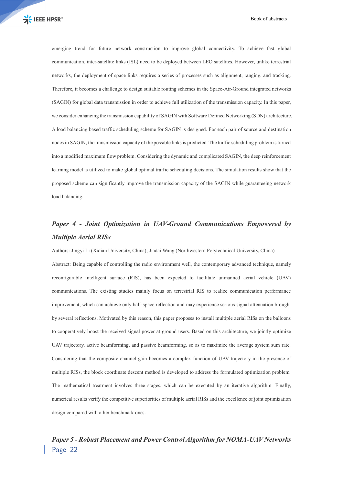emerging trend for future network construction to improve global connectivity. To achieve fast global communication, inter-satellite links (ISL) need to be deployed between LEO satellites. However, unlike terrestrial networks, the deployment of space links requires a series of processes such as alignment, ranging, and tracking. Therefore, it becomes a challenge to design suitable routing schemes in the Space-Air-Ground integrated networks (SAGIN) for global data transmission in order to achieve full utilization of the transmission capacity. In this paper, we consider enhancing the transmission capability of SAGIN with Software Defined Networking (SDN) architecture. A load balancing based traffic scheduling scheme for SAGIN is designed. For each pair of source and destination nodes in SAGIN, the transmission capacity of the possible links is predicted. The traffic scheduling problem is turned into a modified maximum flow problem. Considering the dynamic and complicated SAGIN, the deep reinforcement learning model is utilized to make global optimal traffic scheduling decisions. The simulation results show that the proposed scheme can significantly improve the transmission capacity of the SAGIN while guaranteeing network load balancing.

### *Paper 4 - Joint Optimization in UAV-Ground Communications Empowered by Multiple Aerial RISs*

Authors: Jingyi Li (Xidian University, China); Jiadai Wang (Northwestern Polytechnical University, China) Abstract: Being capable of controlling the radio environment well, the contemporary advanced technique, namely reconfigurable intelligent surface (RIS), has been expected to facilitate unmanned aerial vehicle (UAV) communications. The existing studies mainly focus on terrestrial RIS to realize communication performance improvement, which can achieve only half-space reflection and may experience serious signal attenuation brought by several reflections. Motivated by this reason, this paper proposes to install multiple aerial RISs on the balloons to cooperatively boost the received signal power at ground users. Based on this architecture, we jointly optimize UAV trajectory, active beamforming, and passive beamforming, so as to maximize the average system sum rate. Considering that the composite channel gain becomes a complex function of UAV trajectory in the presence of multiple RISs, the block coordinate descent method is developed to address the formulated optimization problem. The mathematical treatment involves three stages, which can be executed by an iterative algorithm. Finally, numerical results verify the competitive superiorities of multiple aerial RISs and the excellence of joint optimization design compared with other benchmark ones.

### Page 22 *Paper 5 - Robust Placement and Power Control Algorithm for NOMA-UAV Networks*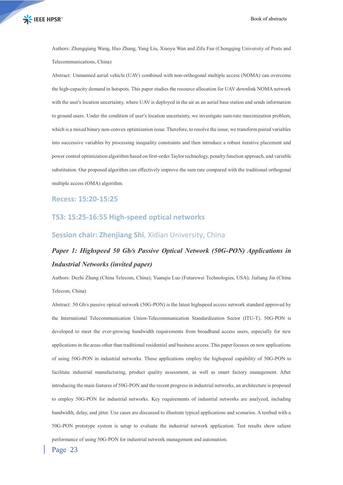Authors: Zhengqiang Wang, Hao Zhang, Yang Liu, Xiaoyu Wan and Zifu Fan (Chongqing University of Posts and Telecommunications, China)

Abstract: Unmanned aerial vehicle (UAV) combined with non-orthogonal multiple access (NOMA) can overcome the high-capacity demand in hotspots. This paper studies the resource allocation for UAV downlink NOMA network with the user's location uncertainty, where UAV is deployed in the air as an aerial base station and sends information to ground users. Under the condition of user's location uncertainty, we investigate sum-rate maximization problem, which is a mixed binary non-convex optimization issue. Therefore, to resolve the issue, we transform paired variables into successive variables by processing inequality constraints and then introduce a robust iterative placement and power control optimization algorithm based on first-order Taylor technology, penalty function approach, and variable substitution. Our proposed algorithm can effectively improve the sum rate compared with the traditional orthogonal multiple access (OMA) algorithm.

#### **Recess: 15:20-15:25**

#### **TS3: 15:25-16:55 High-speed optical networks**

#### **Session chair: Zhenjiang Shi**, Xidian University, China

### *Paper 1: Highspeed 50 Gb/s Passive Optical Network (50G-PON) Applications in Industrial Networks (invited paper)*

Authors: Dezhi Zhang (China Telecom, China); Yuanqiu Luo (Futurewei Technologies, USA); Jialiang Jin (China Telecom, China)

Abstract: 50 Gb/s passive optical network (50G-PON) is the latest highspeed access network standard approved by the International Telecommunication Union-Telecommunication Standardization Sector (ITU-T). 50G-PON is developed to meet the ever-growing bandwidth requirements from broadband access users, especially for new applications in the areas other than traditional residential and business access. This paper focuses on new applications of using 50G-PON in industrial networks. These applications employ the highspeed capability of 50G-PON to facilitate industrial manufacturing, product quality assessment, as well as smart factory management. After introducing the main features of 50G-PON and the recent progress in industrial networks, an architecture is proposed to employ 50G-PON for industrial networks. Key requirements of industrial networks are analyzed, including bandwidth, delay, and jitter. Use cases are discussed to illustrate typical applications and scenarios. A testbed with a 50G-PON prototype system is setup to evaluate the industrial network application. Test results show salient performance of using 50G-PON for industrial network management and automation.

Page 23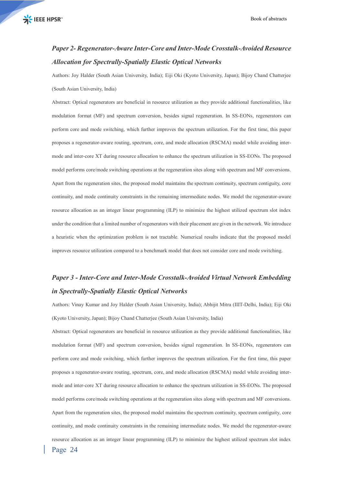### *Paper 2- Regenerator-Aware Inter-Core and Inter-Mode Crosstalk-Avoided Resource Allocation for Spectrally-Spatially Elastic Optical Networks*

Authors: Joy Halder (South Asian University, India); Eiji Oki (Kyoto University, Japan); Bijoy Chand Chatterjee (South Asian University, India)

Abstract: Optical regenerators are beneficial in resource utilization as they provide additional functionalities, like modulation format (MF) and spectrum conversion, besides signal regeneration. In SS-EONs, regenerators can perform core and mode switching, which further improves the spectrum utilization. For the first time, this paper proposes a regenerator-aware routing, spectrum, core, and mode allocation (RSCMA) model while avoiding intermode and inter-core XT during resource allocation to enhance the spectrum utilization in SS-EONs. The proposed model performs core/mode switching operations at the regeneration sites along with spectrum and MF conversions. Apart from the regeneration sites, the proposed model maintains the spectrum continuity, spectrum contiguity, core continuity, and mode continuity constraints in the remaining intermediate nodes. We model the regenerator-aware resource allocation as an integer linear programming (ILP) to minimize the highest utilized spectrum slot index under the condition that a limited number of regenerators with their placement are given in the network. We introduce a heuristic when the optimization problem is not tractable. Numerical results indicate that the proposed model improves resource utilization compared to a benchmark model that does not consider core and mode switching.

### *Paper 3 - Inter-Core and Inter-Mode Crosstalk-Avoided Virtual Network Embedding in Spectrally-Spatially Elastic Optical Networks*

Authors: Vinay Kumar and Joy Halder (South Asian University, India); Abhijit Mitra (IIIT-Delhi, India); Eiji Oki (Kyoto University, Japan); Bijoy Chand Chatterjee (South Asian University, India)

Page 24 Abstract: Optical regenerators are beneficial in resource utilization as they provide additional functionalities, like modulation format (MF) and spectrum conversion, besides signal regeneration. In SS-EONs, regenerators can perform core and mode switching, which further improves the spectrum utilization. For the first time, this paper proposes a regenerator-aware routing, spectrum, core, and mode allocation (RSCMA) model while avoiding intermode and inter-core XT during resource allocation to enhance the spectrum utilization in SS-EONs. The proposed model performs core/mode switching operations at the regeneration sites along with spectrum and MF conversions. Apart from the regeneration sites, the proposed model maintains the spectrum continuity, spectrum contiguity, core continuity, and mode continuity constraints in the remaining intermediate nodes. We model the regenerator-aware resource allocation as an integer linear programming (ILP) to minimize the highest utilized spectrum slot index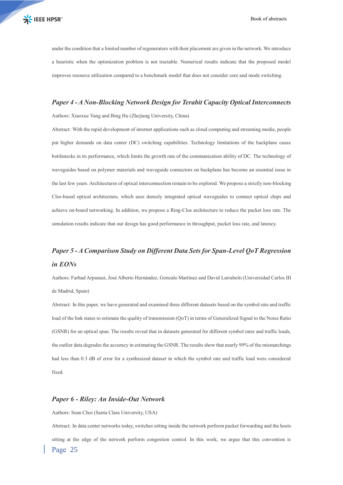under the condition that a limited number of regenerators with their placement are given in the network. We introduce a heuristic when the optimization problem is not tractable. Numerical results indicate that the proposed model improves resource utilization compared to a benchmark model that does not consider core and mode switching.

#### *Paper 4 -A Non-Blocking Network Design for Terabit Capacity Optical Interconnects*

Authors: Xiaoxue Yang and Bing Hu (Zhejiang University, China)

Abstract: With the rapid development of internet applications such as cloud computing and streaming media, people put higher demands on data center (DC) switching capabilities. Technology limitations of the backplane cause bottlenecks in its performance, which limits the growth rate of the communication ability of DC. The technology of waveguides based on polymer materials and waveguide connectors on backplane has become an essential issue in the last few years. Architectures of optical interconnection remain to be explored. We propose a strictly non-blocking Clos-based optical architecture, which uses densely integrated optical waveguides to connect optical chips and achieve on-board networking. In addition, we propose a Ring-Clos architecture to reduce the packet loss rate. The simulation results indicate that our design has good performance in throughput, packet loss rate, and latency.

### *Paper 5 - A Comparison Study on Different Data Sets for Span-Level QoT Regression in EONs*

Authors: Farhad Arpanaei, José Alberto Hernández, Gonzalo Martínez and David Larrabeiti (Universidad Carlos III de Madrid, Spain)

Abstract: In this paper, we have generated and examined three different datasets based on the symbol rate and traffic load of the link states to estimate the quality of transmission (QoT) in terms of Generalized Signal to the Noise Ratio (GSNR) for an optical span. The results reveal that in datasets generated for different symbol rates and traffic loads, the outlier data degrades the accuracy in estimating the GSNR. The results show that nearly 99% of the mismatchings had less than 0.3 dB of error for a synthesized dataset in which the symbol rate and traffic load were considered fixed.

#### *Paper 6 - Riley: An Inside-Out Network*

Authors: Sean Choi (Santa Clara University, USA)

Page 25 Abstract: In data center networks today, switches sitting inside the network perform packet forwarding and the hosts sitting at the edge of the network perform congestion control. In this work, we argue that this convention is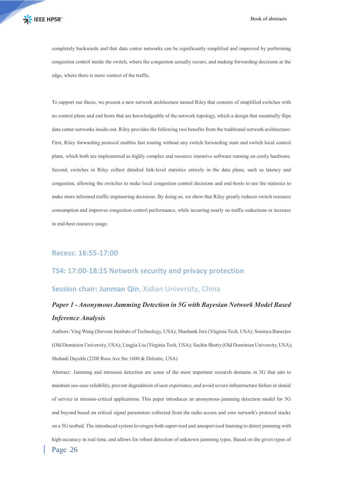completely backwards and that data center networks can be significantly simplified and improved by performing congestion control inside the switch, where the congestion actually occurs, and making forwarding decisions at the edge, where there is more context of the traffic.

To support our thesis, we present a new network architecture named Riley that consists of simplified switches with no control plane and end hosts that are knowledgeable of the network topology, which a design that essentially flips data center networks inside-out. Riley provides the following two benefits from the traditional network architecture: First, Riley forwarding protocol enables fast routing without any switch forwarding state and switch local control plane, which both are implemented as highly complex and resource intensive software running on costly hardware. Second, switches in Riley collect detailed link-level statistics entirely in the data plane, such as latency and congestion, allowing the switches to make local congestion control decisions and end-hosts to use the statistics to make more informed traffic engineering decisions. By doing so, we show that Riley greatly reduces switch resource consumption and improves congestion control performance, while incurring nearly no traffic reductions or increase in end-host resource usage.

#### **Recess: 16:55-17:00**

### **TS4: 17:00-18:15 Network security and privacy protection**

#### **Session chair: Junman Qin**, Xidian University, China

### *Paper 1 - Anonymous Jamming Detection in 5G with Bayesian Network Model Based Inference Analysis*

Authors: Ying Wang (Stevens Institute of Technology, USA); Shashank Jere (Virginia Tech, USA); Soumya Banerjee (Old Dominion University, USA); Lingjia Liu (Virginia Tech, USA); Sachin Shetty (Old Dominion University, USA); Shehadi Dayekh (2200 Ross Ave Ste 1600 & Deloitte, USA)

Page 26 Abstract: Jamming and intrusion detection are some of the most important research domains in 5G that aim to maintain use-case reliability, prevent degradation of user experience, and avoid severe infrastructure failure or denial of service in mission-critical applications. This paper introduces an anonymous jamming detection model for 5G and beyond based on critical signal parameters collected from the radio access and core network's protocol stacks on a 5G testbed. The introduced system leverages both supervised and unsupervised learning to detect jamming with high-accuracy in real time, and allows for robust detection of unknown jamming types. Based on the given types of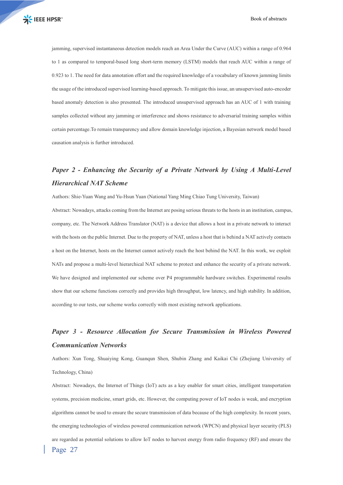jamming, supervised instantaneous detection models reach an Area Under the Curve (AUC) within a range of 0.964 to 1 as compared to temporal-based long short-term memory (LSTM) models that reach AUC within a range of 0.923 to 1. The need for data annotation effort and the required knowledge of a vocabulary of known jamming limits the usage of the introduced supervised learning-based approach. To mitigate this issue, an unsupervised auto-encoder based anomaly detection is also presented. The introduced unsupervised approach has an AUC of 1 with training samples collected without any jamming or interference and shows resistance to adversarial training samples within certain percentage.To remain transparency and allow domain knowledge injection, a Bayesian network model based causation analysis is further introduced.

### *Paper 2 - Enhancing the Security of a Private Network by Using A Multi-Level Hierarchical NAT Scheme*

Authors: Shie-Yuan Wang and Yu-Hsun Yuan (National Yang Ming Chiao Tung University, Taiwan) Abstract: Nowadays, attacks coming from the Internet are posing serious threats to the hosts in an institution, campus, company, etc. The Network Address Translator (NAT) is a device that allows a host in a private network to interact with the hosts on the public Internet. Due to the property of NAT, unless a host that is behind a NAT actively contacts a host on the Internet, hosts on the Internet cannot actively reach the host behind the NAT. In this work, we exploit NATs and propose a multi-level hierarchical NAT scheme to protect and enhance the security of a private network. We have designed and implemented our scheme over P4 programmable hardware switches. Experimental results show that our scheme functions correctly and provides high throughput, low latency, and high stability. In addition, according to our tests, our scheme works correctly with most existing network applications.

### *Paper 3 - Resource Allocation for Secure Transmission in Wireless Powered Communication Networks*

Authors: Xun Tong, Shuaiying Kong, Guanqun Shen, Shubin Zhang and Kaikai Chi (Zhejiang University of Technology, China)

Page 27 Abstract: Nowadays, the Internet of Things (IoT) acts as a key enabler for smart cities, intelligent transportation systems, precision medicine, smart grids, etc. However, the computing power of IoT nodes is weak, and encryption algorithms cannot be used to ensure the secure transmission of data because of the high complexity. In recent years, the emerging technologies of wireless powered communication network (WPCN) and physical layer security (PLS) are regarded as potential solutions to allow IoT nodes to harvest energy from radio frequency (RF) and ensure the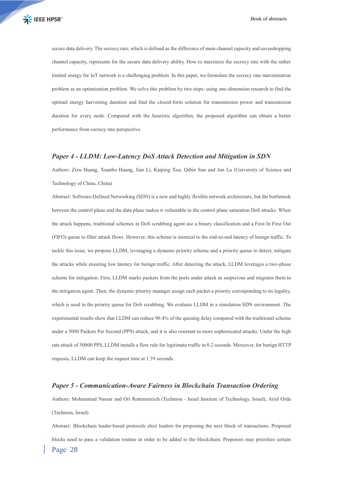secure data delivery. The secrecy rate, which is defined as the difference of main channel capacity and eavesdropping channel capacity, represents for the secure data delivery ability. How to maximize the secrecy rate with the rather limited energy for IoT network is a challenging problem. In this paper, we formulate the secrecy rate maximization problem as an optimization problem. We solve this problem by two steps: using one-dimension research to find the optimal energy harvesting duration and find the closed-form solution for transmission power and transmission duration for every node. Compared with the heuristic algorithm, the proposed algorithm can obtain a better performance from secrecy rate perspective.

#### *Paper 4 - LLDM: Low-Latency DoS Attack Detection and Mitigation in SDN*

Authors: Zixu Huang, Xuanbo Huang, Jian Li, Kaiping Xue, Qibin Sun and Jun Lu (University of Science and Technology of China, China)

Abstract: Software-Defined Networking (SDN) is a new and highly flexible network architecture, but the bottleneck between the control plane and the data plane makes it vulnerable to the control plane saturation DoS attacks. When the attack happens, traditional schemes in DoS scrubbing agent use a binary classification and a First In First Out (FIFO) queue to filter attack flows. However, this scheme is inimical to the end-to-end latency of benign traffic. To tackle this issue, we propose LLDM, leveraging a dynamic priority scheme and a priority queue to detect, mitigate the attacks while ensuring low latency for benign traffic. After detecting the attack, LLDM leverages a two-phase scheme for mitigation. First, LLDM marks packets from the ports under attack as suspicious and migrates them to the mitigation agent. Then, the dynamic priority manager assign each packet a priority corresponding to its legality, which is used in the priority queue for DoS scrubbing. We evaluate LLDM in a simulation SDN environment. The experimental results show that LLDM can reduce 90.4% of the queuing delay compared with the traditional scheme under a 5000 Packets Per Second (PPS) attack, and it is also resistant to more sophisticated attacks. Under the high rate attack of 50000 PPS, LLDM installs a flow rule for legitimate traffic in 0.2 seconds. Moreover, for benign HTTP requests, LLDM can keep the request time at 1.39 seconds.

#### *Paper 5 - Communication-Aware Fairness in Blockchain Transaction Ordering*

Authors: Mohammad Nassar and Ori Rottenstreich (Technion - Israel Institute of Technology, Israel); Ariel Orda (Technion, Israel)

Page 28 Abstract: Blockchain leader-based protocols elect leaders for proposing the next block of transactions. Proposed blocks need to pass a validation routine in order to be added to the blockchain. Proposers may prioritize certain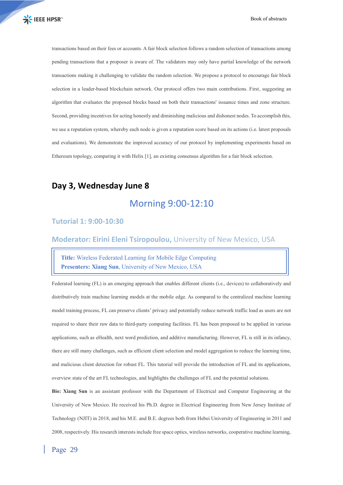transactions based on their fees or accounts. A fair block selection follows a random selection of transactions among pending transactions that a proposer is aware of. The validators may only have partial knowledge of the network transactions making it challenging to validate the random selection. We propose a protocol to encourage fair block selection in a leader-based blockchain network. Our protocol offers two main contributions. First, suggesting an algorithm that evaluates the proposed blocks based on both their transactions' issuance times and zone structure. Second, providing incentives for acting honestly and diminishing malicious and dishonest nodes. To accomplish this, we use a reputation system, whereby each node is given a reputation score based on its actions (i.e. latest proposals and evaluations). We demonstrate the improved accuracy of our protocol by implementing experiments based on Ethereum topology, comparing it with Helix [1], an existing consensus algorithm for a fair block selection.

### **Day 3, Wednesday June 8**

### Morning 9:00-12:10

### **Tutorial 1: 9:00-10:30**

**Moderator: Eirini Eleni Tsiropoulou,** University of New Mexico, USA

**Title:** Wireless Federated Learning for Mobile Edge Computing **Presenters: Xiang Sun**, University of New Mexico, USA

Federated learning (FL) is an emerging approach that enables different clients (i.e., devices) to collaboratively and distributively train machine learning models at the mobile edge. As compared to the centralized machine learning model training process, FL can preserve clients' privacy and potentially reduce network traffic load as users are not required to share their raw data to third-party computing facilities. FL has been proposed to be applied in various applications, such as eHealth, next word prediction, and additive manufacturing. However, FL is still in its infancy, there are still many challenges, such as efficient client selection and model aggregation to reduce the learning time, and malicious client detection for robust FL. This tutorial will provide the introduction of FL and its applications, overview state of the art FL technologies, and highlights the challenges of FL and the potential solutions.

**Bio: Xiang Sun** is an assistant professor with the Department of Electrical and Computer Engineering at the University of New Mexico. He received his Ph.D. degree in Electrical Engineering from New Jersey Institute of Technology (NJIT) in 2018, and his M.E. and B.E. degrees both from Hebei University of Engineering in 2011 and 2008, respectively. His research interests include free space optics, wireless networks, cooperative machine learning,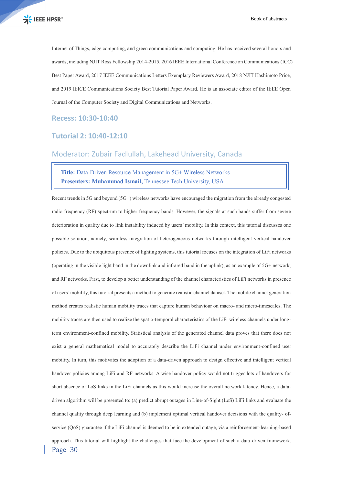Internet of Things, edge computing, and green communications and computing. He has received several honors and awards, including NJIT Ross Fellowship 2014-2015, 2016 IEEE International Conference on Communications (ICC) Best Paper Award, 2017 IEEE Communications Letters Exemplary Reviewers Award, 2018 NJIT Hashimoto Price, and 2019 IEICE Communications Society Best Tutorial Paper Award. He is an associate editor of the IEEE Open Journal of the Computer Society and Digital Communications and Networks.

**Recess: 10:30-10:40**

#### **Tutorial 2: 10:40-12:10**

### Moderator: Zubair Fadlullah, Lakehead University, Canada

**Title:** Data-Driven Resource Management in 5G+ Wireless Networks **Presenters: Muhammad Ismail,** Tennessee Tech University, USA

Page 30 Recent trends in 5G and beyond (5G+) wireless networks have encouraged the migration from the already congested radio frequency (RF) spectrum to higher frequency bands. However, the signals at such bands suffer from severe deterioration in quality due to link instability induced by users' mobility. In this context, this tutorial discusses one possible solution, namely, seamless integration of heterogeneous networks through intelligent vertical handover policies. Due to the ubiquitous presence of lighting systems, this tutorial focuses on the integration of LiFi networks (operating in the visible light band in the downlink and infrared band in the uplink), as an example of 5G+ network, and RF networks. First, to develop a better understanding of the channel characteristics of LiFi networks in presence of users' mobility, this tutorial presents a method to generate realistic channel dataset. The mobile channel generation method creates realistic human mobility traces that capture human behaviour on macro- and micro-timescales. The mobility traces are then used to realize the spatio-temporal characteristics of the LiFi wireless channels under longterm environment-confined mobility. Statistical analysis of the generated channel data proves that there does not exist a general mathematical model to accurately describe the LiFi channel under environment-confined user mobility. In turn, this motivates the adoption of a data-driven approach to design effective and intelligent vertical handover policies among LiFi and RF networks. A wise handover policy would not trigger lots of handovers for short absence of LoS links in the LiFi channels as this would increase the overall network latency. Hence, a datadriven algorithm will be presented to: (a) predict abrupt outages in Line-of-Sight (LoS) LiFi links and evaluate the channel quality through deep learning and (b) implement optimal vertical handover decisions with the quality- ofservice (QoS) guarantee if the LiFi channel is deemed to be in extended outage, via a reinforcement-learning-based approach. This tutorial will highlight the challenges that face the development of such a data-driven framework.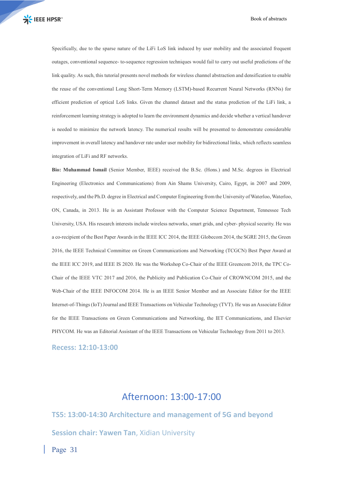Specifically, due to the sparse nature of the LiFi LoS link induced by user mobility and the associated frequent outages, conventional sequence- to-sequence regression techniques would fail to carry out useful predictions of the link quality. As such, this tutorial presents novel methods for wireless channel abstraction and densification to enable the reuse of the conventional Long Short-Term Memory (LSTM)-based Recurrent Neural Networks (RNNs) for efficient prediction of optical LoS links. Given the channel dataset and the status prediction of the LiFi link, a reinforcement learning strategy is adopted to learn the environment dynamics and decide whether a vertical handover is needed to minimize the network latency. The numerical results will be presented to demonstrate considerable improvement in overall latency and handover rate under user mobility for bidirectional links, which reflects seamless integration of LiFi and RF networks.

**Bio: Muhammad Ismail** (Senior Member, IEEE) received the B.Sc. (Hons.) and M.Sc. degrees in Electrical Engineering (Electronics and Communications) from Ain Shams University, Cairo, Egypt, in 2007 and 2009, respectively, and the Ph.D. degree in Electrical and Computer Engineering from the University of Waterloo, Waterloo, ON, Canada, in 2013. He is an Assistant Professor with the Computer Science Department, Tennessee Tech University, USA. His research interests include wireless networks, smart grids, and cyber- physical security. He was a co-recipient of the Best Paper Awards in the IEEE ICC 2014, the IEEE Globecom 2014, the SGRE 2015, the Green 2016, the IEEE Technical Committee on Green Communications and Networking (TCGCN) Best Paper Award at the IEEE ICC 2019, and IEEE IS 2020. He was the Workshop Co-Chair of the IEEE Greencom 2018, the TPC Co-Chair of the IEEE VTC 2017 and 2016, the Publicity and Publication Co-Chair of CROWNCOM 2015, and the Web-Chair of the IEEE INFOCOM 2014. He is an IEEE Senior Member and an Associate Editor for the IEEE Internet-of-Things (IoT) Journal and IEEE Transactions on Vehicular Technology (TVT). He was an Associate Editor for the IEEE Transactions on Green Communications and Networking, the IET Communications, and Elsevier PHYCOM. He was an Editorial Assistant of the IEEE Transactions on Vehicular Technology from 2011 to 2013.

**Recess: 12:10-13:00**

### Afternoon: 13:00-17:00

**TS5: 13:00-14:30 Architecture and management of 5G and beyond Session chair: Yawen Tan**, Xidian University

Page 31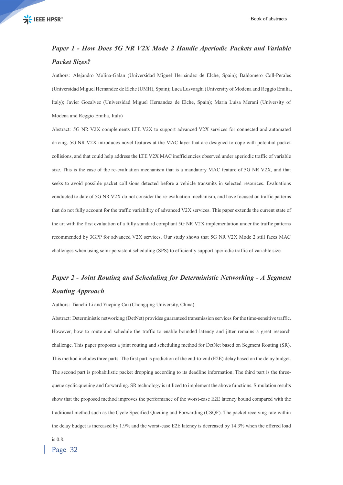### *Paper 1 - How Does 5G NR V2X Mode 2 Handle Aperiodic Packets and Variable Packet Sizes?*

Authors: Alejandro Molina-Galan (Universidad Miguel Hernández de Elche, Spain); Baldomero Coll-Perales (Universidad Miguel Hernandez de Elche (UMH), Spain); Luca Lusvarghi (University of Modena and Reggio Emilia, Italy); Javier Gozalvez (Universidad Miguel Hernandez de Elche, Spain); Maria Luisa Merani (University of Modena and Reggio Emilia, Italy)

Abstract: 5G NR V2X complements LTE V2X to support advanced V2X services for connected and automated driving. 5G NR V2X introduces novel features at the MAC layer that are designed to cope with potential packet collisions, and that could help address the LTE V2X MAC inefficiencies observed under aperiodic traffic of variable size. This is the case of the re-evaluation mechanism that is a mandatory MAC feature of 5G NR V2X, and that seeks to avoid possible packet collisions detected before a vehicle transmits in selected resources. Evaluations conducted to date of 5G NR V2X do not consider the re-evaluation mechanism, and have focused on traffic patterns that do not fully account for the traffic variability of advanced V2X services. This paper extends the current state of the art with the first evaluation of a fully standard compliant 5G NR V2X implementation under the traffic patterns recommended by 3GPP for advanced V2X services. Our study shows that 5G NR V2X Mode 2 still faces MAC challenges when using semi-persistent scheduling (SPS) to efficiently support aperiodic traffic of variable size.

### *Paper 2 - Joint Routing and Scheduling for Deterministic Networking - A Segment Routing Approach*

Authors: Tianchi Li and Yueping Cai (Chongqing University, China)

Abstract: Deterministic networking (DetNet) provides guaranteed transmission services for the time-sensitive traffic. However, how to route and schedule the traffic to enable bounded latency and jitter remains a great research challenge. This paper proposes a joint routing and scheduling method for DetNet based on Segment Routing (SR). This method includes three parts. The first part is prediction of the end-to-end (E2E) delay based on the delay budget. The second part is probabilistic packet dropping according to its deadline information. The third part is the threequeue cyclic queuing and forwarding. SR technology is utilized to implement the above functions. Simulation results show that the proposed method improves the performance of the worst-case E2E latency bound compared with the traditional method such as the Cycle Specified Queuing and Forwarding (CSQF). The packet receiving rate within the delay budget is increased by 1.9% and the worst-case E2E latency is decreased by 14.3% when the offered load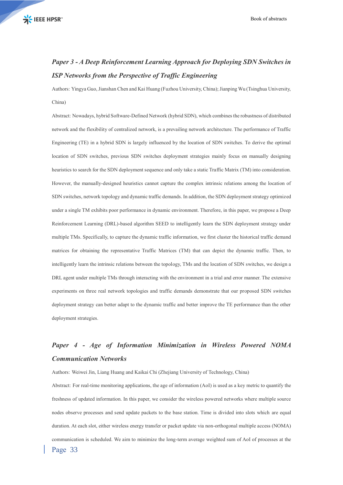### *Paper 3 - A Deep Reinforcement Learning Approach for Deploying SDN Switches in ISP Networks from the Perspective of Traffic Engineering*

Authors: Yingya Guo, Jianshan Chen and Kai Huang (Fuzhou University, China); Jianping Wu (Tsinghua University, China)

Abstract: Nowadays, hybrid Software-Defined Network (hybrid SDN), which combines the robustness of distributed network and the flexibility of centralized network, is a prevailing network architecture. The performance of Traffic Engineering (TE) in a hybrid SDN is largely influenced by the location of SDN switches. To derive the optimal location of SDN switches, previous SDN switches deployment strategies mainly focus on manually designing heuristics to search for the SDN deployment sequence and only take a static Traffic Matrix (TM) into consideration. However, the manually-designed heuristics cannot capture the complex intrinsic relations among the location of SDN switches, network topology and dynamic traffic demands. In addition, the SDN deployment strategy optimized under a single TM exhibits poor performance in dynamic environment. Therefore, in this paper, we propose a Deep Reinforcement Learning (DRL)-based algorithm SEED to intelligently learn the SDN deployment strategy under multiple TMs. Specifically, to capture the dynamic traffic information, we first cluster the historical traffic demand matrices for obtaining the representative Traffic Matrices (TM) that can depict the dynamic traffic. Then, to intelligently learn the intrinsic relations between the topology, TMs and the location of SDN switches, we design a DRL agent under multiple TMs through interacting with the environment in a trial and error manner. The extensive experiments on three real network topologies and traffic demands demonstrate that our proposed SDN switches deployment strategy can better adapt to the dynamic traffic and better improve the TE performance than the other deployment strategies.

### *Paper 4 - Age of Information Minimization in Wireless Powered NOMA Communication Networks*

Authors: Weiwei Jin, Liang Huang and Kaikai Chi (Zhejiang University of Technology, China)

Page 33 Abstract: For real-time monitoring applications, the age of information (AoI) is used as a key metric to quantify the freshness of updated information. In this paper, we consider the wireless powered networks where multiple source nodes observe processes and send update packets to the base station. Time is divided into slots which are equal duration. At each slot, either wireless energy transfer or packet update via non-orthogonal multiple access (NOMA) communication is scheduled. We aim to minimize the long-term average weighted sum of AoI of processes at the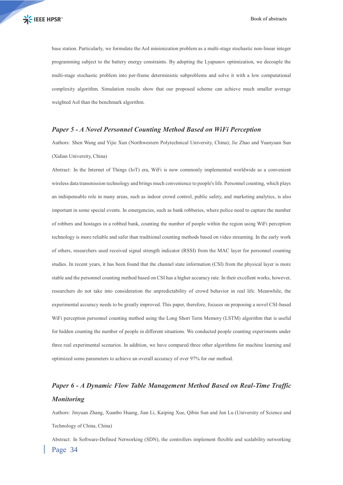base station. Particularly, we formulate the AoI minimization problem as a multi-stage stochastic non-linear integer programming subject to the battery energy constraints. By adopting the Lyapunov optimization, we decouple the multi-stage stochastic problem into per-frame deterministic subproblems and solve it with a low computational complexity algorithm. Simulation results show that our proposed scheme can achieve much smaller average weighted AoI than the benchmark algorithm.

#### *Paper 5 - A Novel Personnel Counting Method Based on WiFi Perception*

Authors: Shen Wang and Yijie Xun (Northwestern Polytechnical University, China); Jie Zhao and Yuanyuan Sun (Xidian University, China)

Abstract: In the Internet of Things (IoT) era, WiFi is now commonly implemented worldwide as a convenient wireless data transmission technology and brings much convenience to people's life. Personnel counting, which plays an indispensable role in many areas, such as indoor crowd control, public safety, and marketing analytics, is also important in some special events. In emergencies, such as bank robberies, where police need to capture the number of robbers and hostages in a robbed bank, counting the number of people within the region using WiFi perception technology is more reliable and safer than traditional counting methods based on video streaming. In the early work of others, researchers used received signal strength indicator (RSSI) from the MAC layer for personnel counting studies. In recent years, it has been found that the channel state information (CSI) from the physical layer is more stable and the personnel counting method based on CSI has a higher accuracy rate. In their excellent works, however, researchers do not take into consideration the unpredictability of crowd behavior in real life. Meanwhile, the experimental accuracy needs to be greatly improved. This paper, therefore, focuses on proposing a novel CSI-based WiFi perception personnel counting method using the Long Short Term Memory (LSTM) algorithm that is useful for hidden counting the number of people in different situations. We conducted people counting experiments under three real experimental scenarios. In addition, we have compared three other algorithms for machine learning and optimized some parameters to achieve an overall accuracy of over 97% for our method.

### *Paper 6 - A Dynamic Flow Table Management Method Based on Real-Time Traffic Monitoring*

Authors: Jinyuan Zhang, Xuanbo Huang, Jian Li, Kaiping Xue, Qibin Sun and Jun Lu (University of Science and Technology of China, China)

Page 34 Abstract: In Software-Defined Networking (SDN), the controllers implement flexible and scalability networking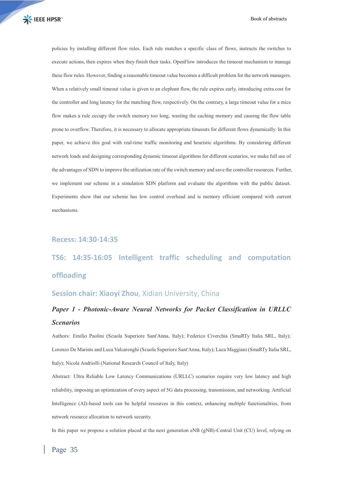policies by installing different flow rules. Each rule matches a specific class of flows, instructs the switches to execute actions, then expires when they finish their tasks. OpenFlow introduces the timeout mechanism to manage these flow rules. However, finding a reasonable timeout value becomes a difficult problem for the network managers. When a relatively small timeout value is given to an elephant flow, the rule expires early, introducing extra cost for the controller and long latency for the matching flow, respectively. On the contrary, a large timeout value for a mice flow makes a rule occupy the switch memory too long, wasting the caching memory and causing the flow table prone to overflow. Therefore, it is necessary to allocate appropriate timeouts for different flows dynamically. In this paper, we achieve this goal with real-time traffic monitoring and heuristic algorithms. By considering different network loads and designing corresponding dynamic timeout algorithms for different scenarios, we make full use of the advantages of SDN to improve the utilization rate of the switch memory and save the controller resources. Further, we implement our scheme in a simulation SDN platform and evaluate the algorithms with the public dataset. Experiments show that our scheme has low control overhead and is memory efficient compared with current mechanisms.

#### **Recess: 14:30-14:35**

# **TS6: 14:35-16:05 Intelligent traffic scheduling and computation offloading**

#### **Session chair: Xiaoyi Zhou**, Xidian University, China

### *Paper 1 - Photonic-Aware Neural Networks for Packet Classification in URLLC Scenarios*

Authors: Emilio Paolini (Scuola Superiore Sant'Anna, Italy); Federico Civerchia (SmaRTy Italia SRL, Italy); Lorenzo De Marinis and Luca Valcarenghi (Scuola Superiore Sant'Anna, Italy); Luca Maggiani (SmaRTy Italia SRL, Italy); Nicola Andriolli (National Research Council of Italy, Italy)

Abstract: Ultra Reliable Low Latency Communications (URLLC) scenarios require very low latency and high reliability, imposing an optimization of every aspect of 5G data processing, transmission, and networking. Artificial Intelligence (AI)-based tools can be helpful resources in this context, enhancing multiple functionalities, from network resource allocation to network security.

In this paper we propose a solution placed at the next generation eNB (gNB)-Central Unit (CU) level, relying on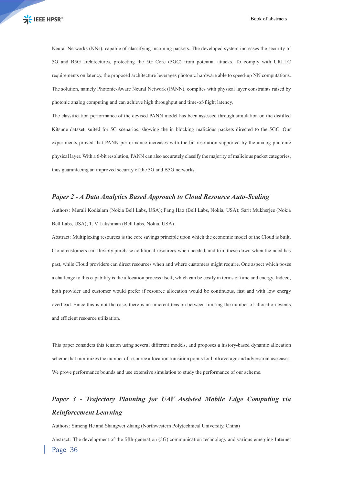Neural Networks (NNs), capable of classifying incoming packets. The developed system increases the security of 5G and B5G architectures, protecting the 5G Core (5GC) from potential attacks. To comply with URLLC requirements on latency, the proposed architecture leverages photonic hardware able to speed-up NN computations. The solution, namely Photonic-Aware Neural Network (PANN), complies with physical layer constraints raised by photonic analog computing and can achieve high throughput and time-of-flight latency.

The classification performance of the devised PANN model has been assessed through simulation on the distilled Kitsune dataset, suited for 5G scenarios, showing the in blocking malicious packets directed to the 5GC. Our experiments proved that PANN performance increases with the bit resolution supported by the analog photonic physical layer. With a 6-bit resolution, PANN can also accurately classify the majority of malicious packet categories, thus guaranteeing an improved security of the 5G and B5G networks.

#### *Paper 2 - A Data Analytics Based Approach to Cloud Resource Auto-Scaling*

Authors: Murali Kodialam (Nokia Bell Labs, USA); Fang Hao (Bell Labs, Nokia, USA); Sarit Mukherjee (Nokia Bell Labs, USA); T. V Lakshman (Bell Labs, Nokia, USA)

Abstract: Multiplexing resources is the core savings principle upon which the economic model of the Cloud is built. Cloud customers can flexibly purchase additional resources when needed, and trim these down when the need has past, while Cloud providers can direct resources when and where customers might require. One aspect which poses a challenge to this capability is the allocation process itself, which can be costly in terms of time and energy. Indeed, both provider and customer would prefer if resource allocation would be continuous, fast and with low energy overhead. Since this is not the case, there is an inherent tension between limiting the number of allocation events and efficient resource utilization.

This paper considers this tension using several different models, and proposes a history-based dynamic allocation scheme that minimizes the number of resource allocation transition points for both average and adversarial use cases. We prove performance bounds and use extensive simulation to study the performance of our scheme.

### *Paper 3 - Trajectory Planning for UAV Assisted Mobile Edge Computing via Reinforcement Learning*

Authors: Simeng He and Shangwei Zhang (Northwestern Polytechnical University, China)

Page 36 Abstract: The development of the fifth-generation (5G) communication technology and various emerging Internet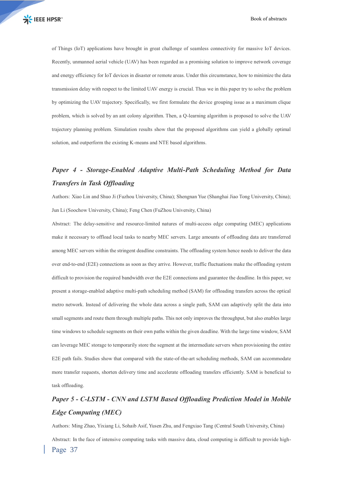of Things (IoT) applications have brought in great challenge of seamless connectivity for massive IoT devices. Recently, unmanned aerial vehicle (UAV) has been regarded as a promising solution to improve network coverage and energy efficiency for IoT devices in disaster or remote areas. Under this circumstance, how to minimize the data transmission delay with respect to the limited UAV energy is crucial. Thus we in this paper try to solve the problem by optimizing the UAV trajectory. Specifically, we first formulate the device grouping issue as a maximum clique problem, which is solved by an ant colony algorithm. Then, a Q-learning algorithm is proposed to solve the UAV trajectory planning problem. Simulation results show that the proposed algorithms can yield a globally optimal solution, and outperform the existing K-means and NTE based algorithms.

### *Paper 4 - Storage-Enabled Adaptive Multi-Path Scheduling Method for Data Transfers in Task Offloading*

Authors: Xiao Lin and Shuo Ji (Fuzhou University, China); Shengnan Yue (Shanghai Jiao Tong University, China); Jun Li (Soochow University, China); Feng Chen (FuZhou University, China)

Abstract: The delay-sensitive and resource-limited natures of multi-access edge computing (MEC) applications make it necessary to offload local tasks to nearby MEC servers. Large amounts of offloading data are transferred among MEC servers within the stringent deadline constraints. The offloading system hence needs to deliver the data over end-to-end (E2E) connections as soon as they arrive. However, traffic fluctuations make the offloading system difficult to provision the required bandwidth over the E2E connections and guarantee the deadline. In this paper, we present a storage-enabled adaptive multi-path scheduling method (SAM) for offloading transfers across the optical metro network. Instead of delivering the whole data across a single path, SAM can adaptively split the data into small segments and route them through multiple paths. This not only improves the throughput, but also enables large time windows to schedule segments on their own paths within the given deadline. With the large time window, SAM can leverage MEC storage to temporarily store the segment at the intermediate servers when provisioning the entire E2E path fails. Studies show that compared with the state-of-the-art scheduling methods, SAM can accommodate more transfer requests, shorten delivery time and accelerate offloading transfers efficiently. SAM is beneficial to task offloading.

### *Paper 5 - C-LSTM - CNN and LSTM Based Offloading Prediction Model in Mobile Edge Computing (MEC)*

Page 37 Authors: Ming Zhao, Yixiang Li, Sohaib Asif, Yusen Zhu, and Fengxiao Tang (Central South University, China) Abstract: In the face of intensive computing tasks with massive data, cloud computing is difficult to provide high-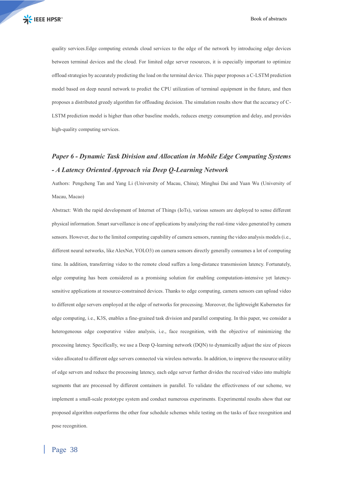quality services.Edge computing extends cloud services to the edge of the network by introducing edge devices between terminal devices and the cloud. For limited edge server resources, it is especially important to optimize offload strategies by accurately predicting the load on the terminal device. This paper proposes a C-LSTM prediction model based on deep neural network to predict the CPU utilization of terminal equipment in the future, and then proposes a distributed greedy algorithm for offloading decision. The simulation results show that the accuracy of C-LSTM prediction model is higher than other baseline models, reduces energy consumption and delay, and provides high-quality computing services.

### *Paper 6 - Dynamic Task Division and Allocation in Mobile Edge Computing Systems - A Latency Oriented Approach via Deep Q-Learning Network*

Authors: Pengcheng Tan and Yang Li (University of Macau, China); Minghui Dai and Yuan Wu (University of Macau, Macao)

Abstract: With the rapid development of Internet of Things (IoTs), various sensors are deployed to sense different physical information. Smart surveillance is one of applications by analyzing the real-time video generated by camera sensors. However, due to the limited computing capability of camera sensors, running the video analysis models (i.e., different neural networks, like AlexNet, YOLO3) on camera sensors directly generally consumes a lot of computing time. In addition, transferring video to the remote cloud suffers a long-distance transmission latency. Fortunately, edge computing has been considered as a promising solution for enabling computation-intensive yet latencysensitive applications at resource-constrained devices. Thanks to edge computing, camera sensors can upload video to different edge servers employed at the edge of networks for processing. Moreover, the lightweight Kubernetes for edge computing, i.e., K3S, enables a fine-grained task division and parallel computing. In this paper, we consider a heterogeneous edge cooperative video analysis, i.e., face recognition, with the objective of minimizing the processing latency. Specifically, we use a Deep Q-learning network (DQN) to dynamically adjust the size of pieces video allocated to different edge servers connected via wireless networks. In addition, to improve the resource utility of edge servers and reduce the processing latency, each edge server further divides the received video into multiple segments that are processed by different containers in parallel. To validate the effectiveness of our scheme, we implement a small-scale prototype system and conduct numerous experiments. Experimental results show that our proposed algorithm outperforms the other four schedule schemes while testing on the tasks of face recognition and pose recognition.